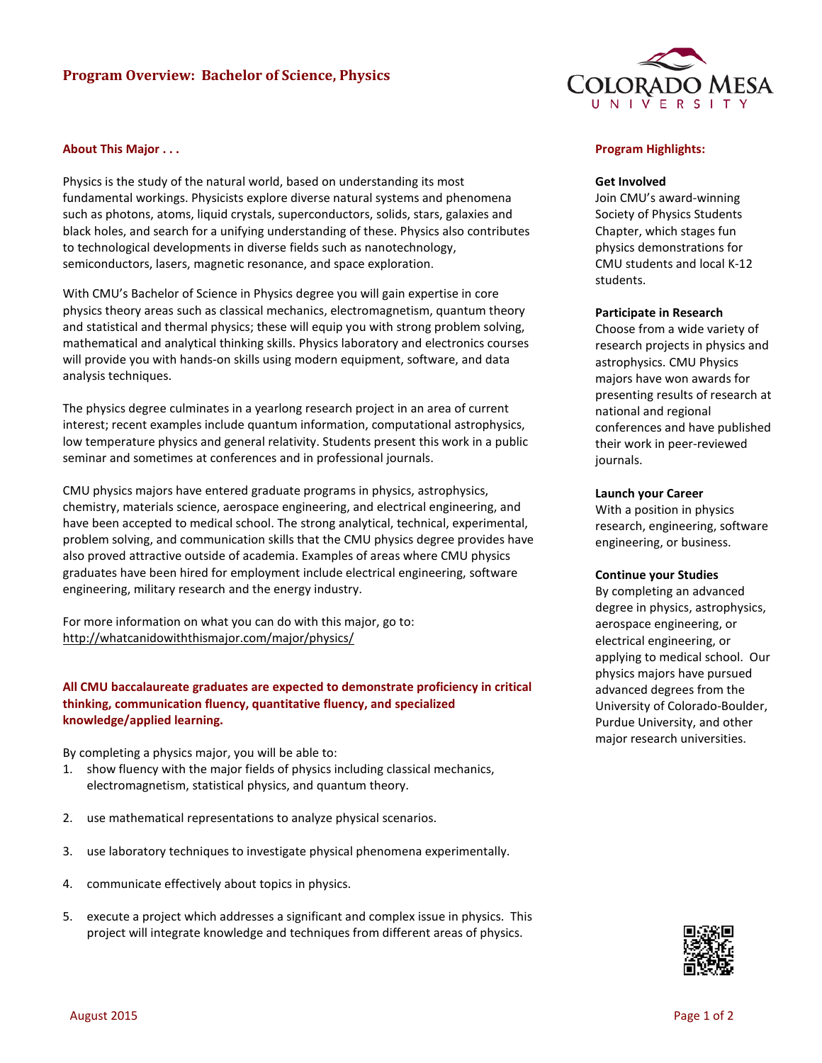# **Program Overview: Bachelor of Science, Physics**



## **About This Major . . .**

Physics is the study of the natural world, based on understanding its most fundamental workings. Physicists explore diverse natural systems and phenomena such as photons, atoms, liquid crystals, superconductors, solids, stars, galaxies and black holes, and search for a unifying understanding of these. Physics also contributes to technological developments in diverse fields such as nanotechnology, semiconductors, lasers, magnetic resonance, and space exploration.

With CMU's Bachelor of Science in Physics degree you will gain expertise in core physics theory areas such as classical mechanics, electromagnetism, quantum theory and statistical and thermal physics; these will equip you with strong problem solving, mathematical and analytical thinking skills. Physics laboratory and electronics courses will provide you with hands-on skills using modern equipment, software, and data analysis techniques.

The physics degree culminates in a yearlong research project in an area of current interest; recent examples include quantum information, computational astrophysics, low temperature physics and general relativity. Students present this work in a public seminar and sometimes at conferences and in professional journals.

CMU physics majors have entered graduate programs in physics, astrophysics, chemistry, materials science, aerospace engineering, and electrical engineering, and have been accepted to medical school. The strong analytical, technical, experimental, problem solving, and communication skills that the CMU physics degree provides have also proved attractive outside of academia. Examples of areas where CMU physics graduates have been hired for employment include electrical engineering, software engineering, military research and the energy industry.

For more information on what you can do with this major, go to: http://whatcanidowiththismajor.com/major/physics/

## **All CMU baccalaureate graduates are expected to demonstrate proficiency in critical thinking, communication fluency, quantitative fluency, and specialized knowledge/applied learning.**

By completing a physics major, you will be able to:

- 1. show fluency with the major fields of physics including classical mechanics, electromagnetism, statistical physics, and quantum theory.
- 2. use mathematical representations to analyze physical scenarios.
- 3. use laboratory techniques to investigate physical phenomena experimentally.
- 4. communicate effectively about topics in physics.
- 5. execute a project which addresses a significant and complex issue in physics. This project will integrate knowledge and techniques from different areas of physics.

#### **Program Highlights:**

#### **Get Involved**

Join CMU's award-winning Society of Physics Students Chapter, which stages fun physics demonstrations for CMU students and local K-12 students.

#### **Participate in Research**

Choose from a wide variety of research projects in physics and astrophysics. CMU Physics majors have won awards for presenting results of research at national and regional conferences and have published their work in peer-reviewed journals.

## **Launch your Career**

With a position in physics research, engineering, software engineering, or business.

#### **Continue your Studies**

By completing an advanced degree in physics, astrophysics, aerospace engineering, or electrical engineering, or applying to medical school. Our physics majors have pursued advanced degrees from the University of Colorado-Boulder, Purdue University, and other major research universities.